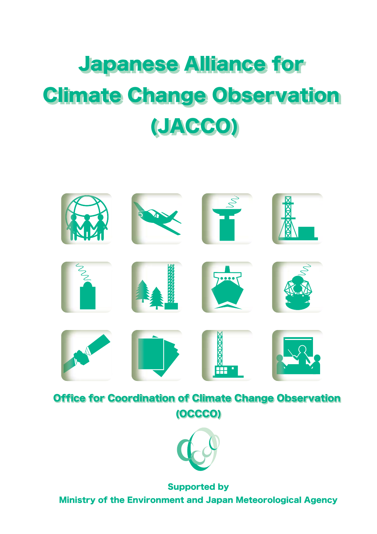# Japanese Alliance for Japanese Alliance for Climate Change Observation Climate Change Observation (JACCO) (JACCO)



Office for Coordination of Climate Change Observation Office for Coordination of Climate Change Observation (OCCCO) (OCCCO)



Supported by Ministry of the Environment and Japan Meteorological Agency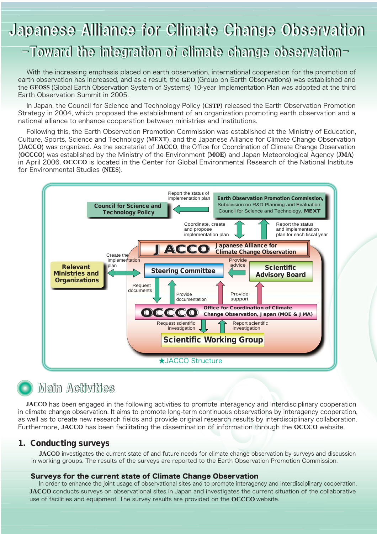# Japanese Alliance for Climate Change Observation

### -Toward the integration of climate change observation-

 With the increasing emphasis placed on earth observation, international cooperation for the promotion of earth observation has increased, and as a result, the **GEO** (Group on Earth Observations) was established and the **GEOSS** (Global Earth Observation System of Systems) 10-year Implementation Plan was adopted at the third Earth Observation Summit in 2005.

 In Japan, the Council for Science and Technology Policy (**CSTP**) released the Earth Observation Promotion Strategy in 2004, which proposed the establishment of an organization promoting earth observation and a national alliance to enhance cooperation between ministries and institutions.

 Following this, the Earth Observation Promotion Commission was established at the Ministry of Education, Culture, Sports, Science and Technology (**MEXT**), and the Japanese Alliance for Climate Change Observation (**JACCO**) was organized. As the secretariat of **JACCO**, the Office for Coordination of Climate Change Observation (**OCCCO**) was established by the Ministry of the Environment (**MOE**) and Japan Meteorological Agency (**JMA**) in April 2006. **OCCCO** is located in the Center for Global Environmental Research of the National Institute for Environmental Studies (**NIES**).



## **Main Activities**

**JACCO** has been engaged in the following activities to promote interagency and interdisciplinary cooperation in climate change observation. It aims to promote long-term continuous observations by interagency cooperation, as well as to create new research fields and provide original research results by interdisciplinary collaboration. Furthermore, **JACCO** has been facilitating the dissemination of information through the **OCCCO** website.

#### 1. Conducting surveys

 **JACCO** investigates the current state of and future needs for climate change observation by surveys and discussion in working groups. The results of the surveys are reported to the Earth Observation Promotion Commission.

#### Surveys for the current state of Climate Change Observation

 In order to enhance the joint usage of observational sites and to promote interagency and interdisciplinary cooperation, **JACCO** conducts surveys on observational sites in Japan and investigates the current situation of the collaborative use of facilities and equipment. The survey results are provided on the **OCCCO** website.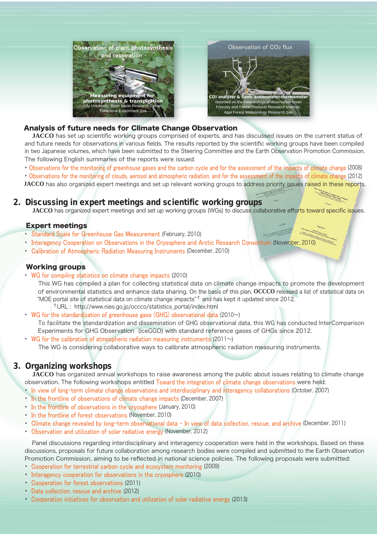

#### Analysis of future needs for Climate Change Observation

 **JACCO** has set up scientific working groups comprised of experts, and has discussed issues on the current status of and future needs for observations in various fields. The results reported by the scientific working groups have been compiled in two Japanese volumes, which have been submitted to the Steering Committee and the Earth Observation Promotion Commission. The following English summaries of the reports were issued:

・ Observations for the monitoring of greenhouse gases and the carbon cycle and for the assessment of the impacts of climate change (2008)

 ・ Observations for the monitoring of clouds, aerosol and atmospheric radiation, and for the assessment of the impacts of climate change (2012) **JACCO** has also organized expert meetings and set up relevant working groups to address priority issues raised in these reports.

#### 2. Discussing in expert meetings and scientific working groups

**JACCO** has organized expert meetings and set up working groups (WGs) to discuss collaborative efforts toward specific issues.

#### Expert meetings

- Standard Scale for Greenhouse Gas Measurement (February, 2010)
- ・ Interagency Cooperation on Observations in the Cryosphere and Arctic Research Consortium (November, 2010)
- Calibration of Atmospheric Radiation Measuring Instruments (December, 2010)

#### Working groups

・ WG for compiling statistics on climate change impacts (2010)

 This WG has compiled a plan for collecting statistical data on climate change impacts to promote the development of environmental statistics and enhance data sharing. On the basis of this plan, **OCCCO** released a list of statistical data on "MOE portal site of statistical data on climate change impacts"† and has kept it updated since 2012.

- †URL : http://www.nies.go.jp/occco/statistics\_portal/index.html
- WG for the standardization of greenhouse gase (GHG) observational data (2010 $\sim$ ) To facilitate the standardization and dissemination of GHG observational data, this WG has conducted InterComparison Experiments for GHG Observation (iceGGO) with standard reference gases of GHGs since 2012.

• WG for the calibration of atmospheric radiation measuring instruments (2011 $\sim$ ) The WG is considering collaborative ways to calibrate atmospheric radiation measuring instruments.

#### 3. Organizing workshops

 **JACCO** has organized annual workshops to raise awareness among the public about issues relating to climate change observation. The following workshops entitled Toward the integration of climate change observations were held:

- ・ In view of long-term climate change observations and interdisciplinary and interagency collaborations (October, 2007)
- In the frontline of observations of climate change impacts (December, 2007)
- ・ In the frontline of observations in the cryosphere (January, 2010)
- ・ In the frontline of forest observations (November, 2010)
- Climate change revealed by long-term observational data In view of data collection, rescue, and archive (December, 2011)
- Observation and utilization of solar radiative energy (November, 2012)

 Panel discussions regarding interdisciplinary and interagency cooperation were held in the workshops. Based on these discussions, proposals for future collaboration among research bodies were compiled and submitted to the Earth Observation Promotion Commission, aiming to be reflected in national science policies. The following proposals were submitted:

- ・ Cooperation for terrestrial carbon cycle and ecosystem monitoring (2009)
- ・ Interagency cooperation for observations in the cryosphere (2010)
- ・ Cooperation for forest observations (2011)
- ・ Data collection, rescue and archive (2012)
- ・ Cooperation initiatives for observation and utilization of solar radiative energy (2013)